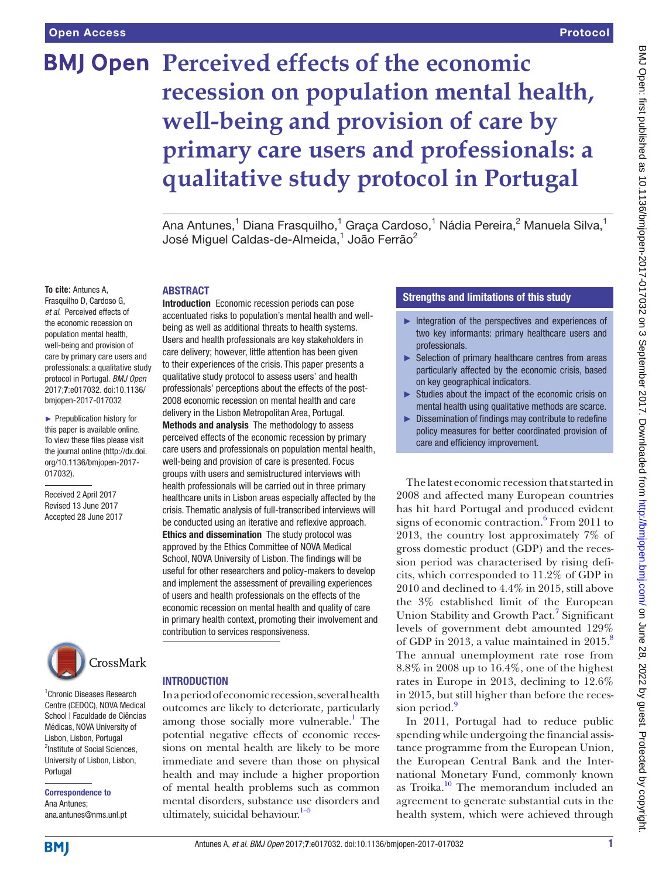# **BMJ Open Perceived effects of the economic recession on population mental health, well-being and provision of care by primary care users and professionals: a qualitative study protocol in Portugal**

Ana Antunes,<sup>1</sup> Diana Frasquilho,<sup>1</sup> Graça Cardoso,<sup>1</sup> Nádia Pereira,<sup>2</sup> Manuela Silva,<sup>1</sup> José Miguel Caldas-de-Almeida, $^1$  João Ferrão $^2$ 

#### **To cite:** Antunes A,

Frasquilho D, Cardoso G, *et al*. Perceived effects of the economic recession on population mental health, well-being and provision of care by primary care users and professionals: a qualitative study protocol in Portugal. *BMJ Open* 2017;7:e017032. doi:10.1136/ bmjopen-2017-017032

► Prepublication history for this paper is available online. To view these files please visit the journal online [\(http://dx.doi.](http://dx.doi.org/10.1136/bmjopen-2017-017032) [org/10.1136/bmjopen-2017-](http://dx.doi.org/10.1136/bmjopen-2017-017032) [017032\)](http://dx.doi.org/10.1136/bmjopen-2017-017032).

Received 2 April 2017 Revised 13 June 2017 Accepted 28 June 2017



1 Chronic Diseases Research Centre (CEDOC), NOVA Medical School | Faculdade de Ciências Médicas, NOVA University of Lisbon, Lisbon, Portugal <sup>2</sup>Institute of Social Sciences, University of Lisbon, Lisbon, Portugal

Correspondence to Ana Antunes; ana.antunes@nms.unl.pt

#### **INTRODUCTION**

contribution to services responsiveness.

**ABSTRACT** 

Introduction Economic recession periods can pose accentuated risks to population's mental health and wellbeing as well as additional threats to health systems. Users and health professionals are key stakeholders in care delivery; however, little attention has been given to their experiences of the crisis. This paper presents a qualitative study protocol to assess users' and health professionals' perceptions about the effects of the post-2008 economic recession on mental health and care delivery in the Lisbon Metropolitan Area, Portugal. Methods and analysis The methodology to assess perceived effects of the economic recession by primary care users and professionals on population mental health, well-being and provision of care is presented. Focus groups with users and semistructured interviews with health professionals will be carried out in three primary healthcare units in Lisbon areas especially affected by the crisis. Thematic analysis of full-transcribed interviews will be conducted using an iterative and reflexive approach. Ethics and dissemination The study protocol was approved by the Ethics Committee of NOVA Medical School, NOVA University of Lisbon. The findings will be useful for other researchers and policy-makers to develop and implement the assessment of prevailing experiences of users and health professionals on the effects of the economic recession on mental health and quality of care in primary health context, promoting their involvement and

In a period of economic recession, several health outcomes are likely to deteriorate, particularly among those socially more vulnerable.<sup>1</sup> The potential negative effects of economic recessions on mental health are likely to be more immediate and severe than those on physical health and may include a higher proportion of mental health problems such as common mental disorders, substance use disorders and ultimately, suicidal behaviour. $1-5$ 

## Strengths and limitations of this study

- ► Integration of the perspectives and experiences of two key informants: primary healthcare users and professionals.
- ► Selection of primary healthcare centres from areas particularly affected by the economic crisis, based on key geographical indicators.
- ► Studies about the impact of the economic crisis on mental health using qualitative methods are scarce.
- ► Dissemination of findings may contribute to redefine policy measures for better coordinated provision of care and efficiency improvement.

The latest economic recession that started in 2008 and affected many European countries has hit hard Portugal and produced evident signs of economic contraction.<sup>6</sup> From 2011 to 2013, the country lost approximately 7% of gross domestic product (GDP) and the recession period was characterised by rising deficits, which corresponded to 11.2% of GDP in 2010 and declined to 4.4% in 2015, still above the 3% established limit of the European Union Stability and Growth Pact.<sup>7</sup> Significant levels of government debt amounted 129% of GDP in 2013, a value maintained in 2015.<sup>8</sup> The annual unemployment rate rose from 8.8% in 2008 up to 16.4%, one of the highest rates in Europe in 2013, declining to 12.6% in 2015, but still higher than before the reces-sion period.<sup>[9](#page-5-2)</sup>

In 2011, Portugal had to reduce public spending while undergoing the financial assistance programme from the European Union, the European Central Bank and the International Monetary Fund, commonly known as Troika. $10$  The memorandum included an agreement to generate substantial cuts in the health system, which were achieved through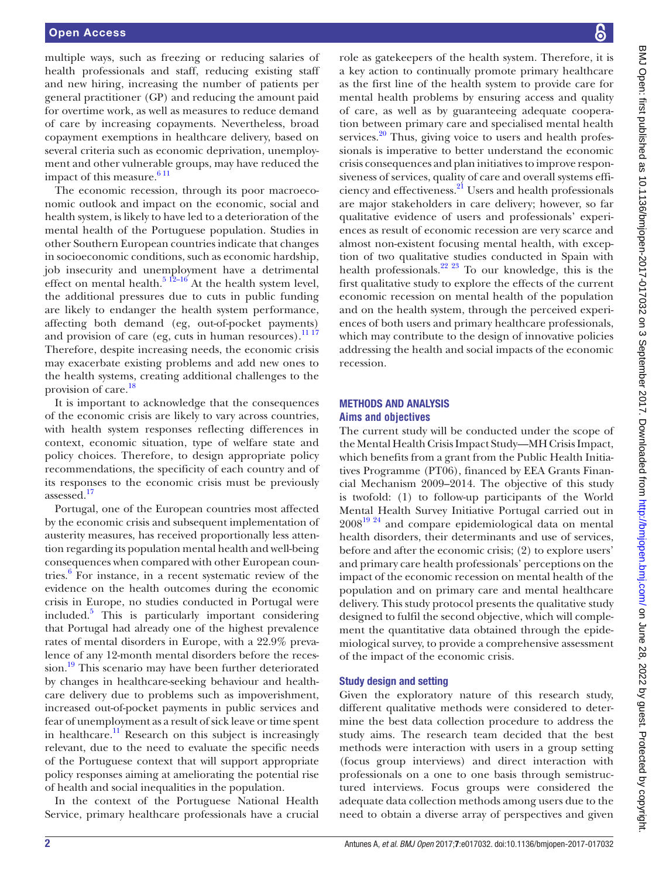multiple ways, such as freezing or reducing salaries of health professionals and staff, reducing existing staff and new hiring, increasing the number of patients per general practitioner (GP) and reducing the amount paid for overtime work, as well as measures to reduce demand of care by increasing copayments. Nevertheless, broad copayment exemptions in healthcare delivery, based on several criteria such as economic deprivation, unemployment and other vulnerable groups, may have reduced the impact of this measure. $611$ 

The economic recession, through its poor macroeconomic outlook and impact on the economic, social and health system, is likely to have led to a deterioration of the mental health of the Portuguese population. Studies in other Southern European countries indicate that changes in socioeconomic conditions, such as economic hardship, job insecurity and unemployment have a detrimental effect on mental health.<sup>5 12–16</sup> At the health system level, the additional pressures due to cuts in public funding are likely to endanger the health system performance, affecting both demand (eg, out-of-pocket payments) and provision of care (eg, cuts in human resources).<sup>[11 17](#page-5-4)</sup> Therefore, despite increasing needs, the economic crisis may exacerbate existing problems and add new ones to the health systems, creating additional challenges to the provision of care.<sup>[18](#page-5-5)</sup>

It is important to acknowledge that the consequences of the economic crisis are likely to vary across countries, with health system responses reflecting differences in context, economic situation, type of welfare state and policy choices. Therefore, to design appropriate policy recommendations, the specificity of each country and of its responses to the economic crisis must be previously assessed[.17](#page-5-6)

Portugal, one of the European countries most affected by the economic crisis and subsequent implementation of austerity measures, has received proportionally less attention regarding its population mental health and well-being consequences when compared with other European countries[.6](#page-4-1) For instance, in a recent systematic review of the evidence on the health outcomes during the economic crisis in Europe, no studies conducted in Portugal were included[.5](#page-4-2) This is particularly important considering that Portugal had already one of the highest prevalence rates of mental disorders in Europe, with a 22.9% prevalence of any 12-month mental disorders before the recession.<sup>19</sup> This scenario may have been further deteriorated by changes in healthcare-seeking behaviour and healthcare delivery due to problems such as impoverishment, increased out-of-pocket payments in public services and fear of unemployment as a result of sick leave or time spent in healthcare.<sup>11</sup> Research on this subject is increasingly relevant, due to the need to evaluate the specific needs of the Portuguese context that will support appropriate policy responses aiming at ameliorating the potential rise of health and social inequalities in the population.

In the context of the Portuguese National Health Service, primary healthcare professionals have a crucial

role as gatekeepers of the health system. Therefore, it is a key action to continually promote primary healthcare as the first line of the health system to provide care for mental health problems by ensuring access and quality of care, as well as by guaranteeing adequate cooperation between primary care and specialised mental health services. $20$  Thus, giving voice to users and health professionals is imperative to better understand the economic crisis consequences and plan initiatives to improve responsiveness of services, quality of care and overall systems efficiency and effectiveness.[21](#page-5-9) Users and health professionals are major stakeholders in care delivery; however, so far qualitative evidence of users and professionals' experiences as result of economic recession are very scarce and almost non-existent focusing mental health, with exception of two qualitative studies conducted in Spain with health professionals.<sup>22</sup>  $^{23}$  To our knowledge, this is the first qualitative study to explore the effects of the current economic recession on mental health of the population and on the health system, through the perceived experiences of both users and primary healthcare professionals, which may contribute to the design of innovative policies addressing the health and social impacts of the economic recession.

## Methods and analysis **Aims and objectives**

The current study will be conducted under the scope of the Mental Health Crisis Impact Study—MH Crisis Impact, which benefits from a grant from the Public Health Initiatives Programme (PT06), financed by EEA Grants Financial Mechanism 2009–2014. The objective of this study is twofold: (1) to follow-up participants of the World Mental Health Survey Initiative Portugal carried out in  $2008^{19}$  <sup>24</sup> and compare epidemiological data on mental health disorders, their determinants and use of services, before and after the economic crisis; (2) to explore users' and primary care health professionals' perceptions on the impact of the economic recession on mental health of the population and on primary care and mental healthcare delivery. This study protocol presents the qualitative study designed to fulfil the second objective, which will complement the quantitative data obtained through the epidemiological survey, to provide a comprehensive assessment of the impact of the economic crisis.

## Study design and setting

Given the exploratory nature of this research study, different qualitative methods were considered to determine the best data collection procedure to address the study aims. The research team decided that the best methods were interaction with users in a group setting (focus group interviews) and direct interaction with professionals on a one to one basis through semistructured interviews. Focus groups were considered the adequate data collection methods among users due to the need to obtain a diverse array of perspectives and given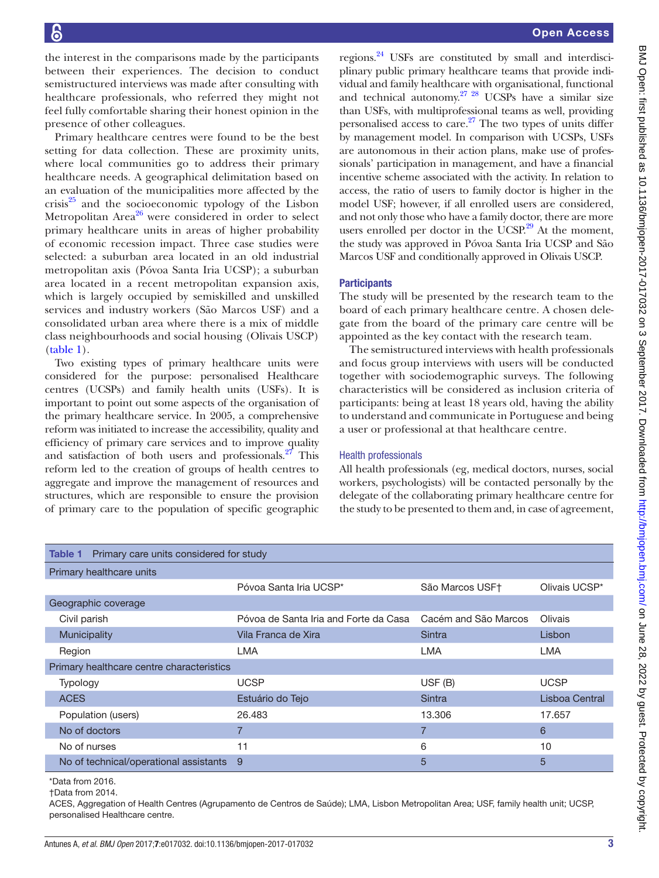the interest in the comparisons made by the participants between their experiences. The decision to conduct semistructured interviews was made after consulting with healthcare professionals, who referred they might not feel fully comfortable sharing their honest opinion in the presence of other colleagues.

Primary healthcare centres were found to be the best setting for data collection. These are proximity units, where local communities go to address their primary healthcare needs. A geographical delimitation based on an evaluation of the municipalities more affected by the crisis $^{25}$  and the socioeconomic typology of the Lisbon Metropolitan Area<sup>[26](#page-5-12)</sup> were considered in order to select primary healthcare units in areas of higher probability of economic recession impact. Three case studies were selected: a suburban area located in an old industrial metropolitan axis (Póvoa Santa Iria UCSP); a suburban area located in a recent metropolitan expansion axis, which is largely occupied by semiskilled and unskilled services and industry workers (São Marcos USF) and a consolidated urban area where there is a mix of middle class neighbourhoods and social housing (Olivais USCP) ([table](#page-2-0) 1).

Two existing types of primary healthcare units were considered for the purpose: personalised Healthcare centres (UCSPs) and family health units (USFs). It is important to point out some aspects of the organisation of the primary healthcare service. In 2005, a comprehensive reform was initiated to increase the accessibility, quality and efficiency of primary care services and to improve quality and satisfaction of both users and professionals. $27$  This reform led to the creation of groups of health centres to aggregate and improve the management of resources and structures, which are responsible to ensure the provision of primary care to the population of specific geographic

regions[.24](#page-5-14) USFs are constituted by small and interdisciplinary public primary healthcare teams that provide individual and family healthcare with organisational, functional and technical autonomy. $27 \frac{28}{10}$  UCSPs have a similar size than USFs, with multiprofessional teams as well, providing personalised access to care. $27$  The two types of units differ by management model. In comparison with UCSPs, USFs are autonomous in their action plans, make use of professionals' participation in management, and have a financial incentive scheme associated with the activity. In relation to access, the ratio of users to family doctor is higher in the model USF; however, if all enrolled users are considered, and not only those who have a family doctor, there are more users enrolled per doctor in the UCSP. $29$  At the moment, the study was approved in Póvoa Santa Iria UCSP and São Marcos USF and conditionally approved in Olivais USCP.

### **Participants**

The study will be presented by the research team to the board of each primary healthcare centre. A chosen delegate from the board of the primary care centre will be appointed as the key contact with the research team.

The semistructured interviews with health professionals and focus group interviews with users will be conducted together with sociodemographic surveys. The following characteristics will be considered as inclusion criteria of participants: being at least 18 years old, having the ability to understand and communicate in Portuguese and being a user or professional at that healthcare centre.

### Health professionals

All health professionals (eg, medical doctors, nurses, social workers, psychologists) will be contacted personally by the delegate of the collaborating primary healthcare centre for the study to be presented to them and, in case of agreement,

<span id="page-2-0"></span>

| Primary care units considered for study<br>Table 1 |                                       |                      |                |  |
|----------------------------------------------------|---------------------------------------|----------------------|----------------|--|
| Primary healthcare units                           |                                       |                      |                |  |
|                                                    | Póvoa Santa Iria UCSP*                | São Marcos USF†      | Olivais UCSP*  |  |
| Geographic coverage                                |                                       |                      |                |  |
| Civil parish                                       | Póvoa de Santa Iria and Forte da Casa | Cacém and São Marcos | Olivais        |  |
| Municipality                                       | Vila Franca de Xira                   | Sintra               | Lisbon         |  |
| Region                                             | <b>LMA</b>                            | <b>LMA</b>           | <b>LMA</b>     |  |
| Primary healthcare centre characteristics          |                                       |                      |                |  |
| <b>Typology</b>                                    | <b>UCSP</b>                           | USF (B)              | <b>UCSP</b>    |  |
| <b>ACES</b>                                        | Estuário do Tejo                      | Sintra               | Lisboa Central |  |
| Population (users)                                 | 26.483                                | 13.306               | 17.657         |  |
| No of doctors                                      |                                       |                      | 6              |  |
| No of nurses                                       | 11                                    | 6                    | 10             |  |
| No of technical/operational assistants             | 9                                     | 5                    | 5              |  |
|                                                    |                                       |                      |                |  |

\*Data from 2016.

†Data from 2014.

ACES, Aggregation of Health Centres (Agrupamento de Centros de Saúde); LMA, Lisbon Metropolitan Area; USF, family health unit; UCSP, personalised Healthcare centre.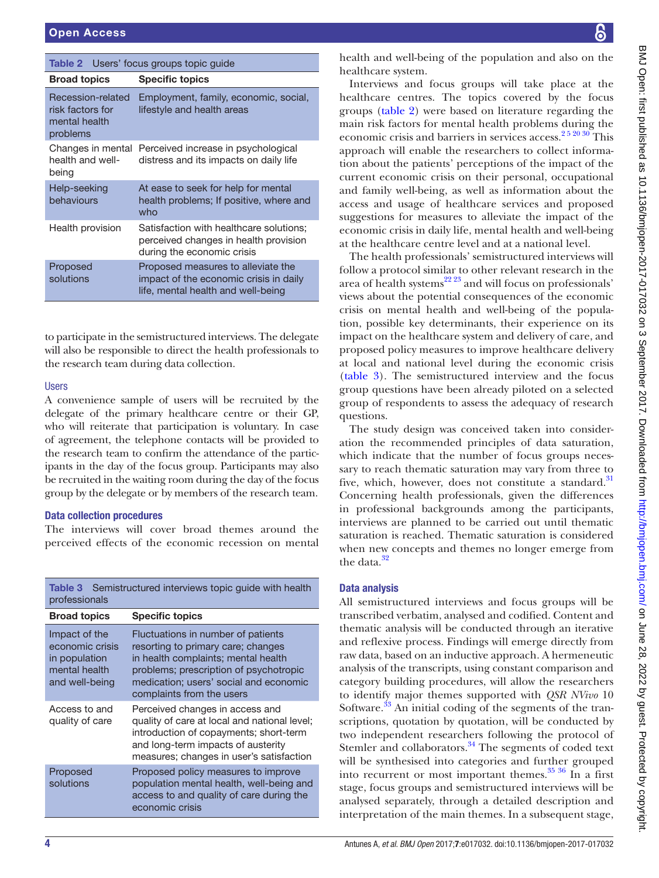<span id="page-3-0"></span>

| <b>Table 2</b> Users' focus groups topic guide                     |                                                                                                                    |  |
|--------------------------------------------------------------------|--------------------------------------------------------------------------------------------------------------------|--|
| <b>Broad topics</b>                                                | <b>Specific topics</b>                                                                                             |  |
| Recession-related<br>risk factors for<br>mental health<br>problems | Employment, family, economic, social,<br>lifestyle and health areas                                                |  |
| Changes in mental<br>health and well-<br>being                     | Perceived increase in psychological<br>distress and its impacts on daily life                                      |  |
| Help-seeking<br>behaviours                                         | At ease to seek for help for mental<br>health problems; If positive, where and<br>who                              |  |
| Health provision                                                   | Satisfaction with healthcare solutions;<br>perceived changes in health provision<br>during the economic crisis     |  |
| Proposed<br>solutions                                              | Proposed measures to alleviate the<br>impact of the economic crisis in daily<br>life, mental health and well-being |  |

to participate in the semistructured interviews. The delegate will also be responsible to direct the health professionals to the research team during data collection.

#### Users

A convenience sample of users will be recruited by the delegate of the primary healthcare centre or their GP, who will reiterate that participation is voluntary. In case of agreement, the telephone contacts will be provided to the research team to confirm the attendance of the participants in the day of the focus group. Participants may also be recruited in the waiting room during the day of the focus group by the delegate or by members of the research team.

#### Data collection procedures

The interviews will cover broad themes around the perceived effects of the economic recession on mental

<span id="page-3-1"></span>

| <b>Table 3</b> Semistructured interviews topic guide with health<br>professionals    |                                                                                                                                                                                                                                  |  |
|--------------------------------------------------------------------------------------|----------------------------------------------------------------------------------------------------------------------------------------------------------------------------------------------------------------------------------|--|
| <b>Broad topics</b>                                                                  | <b>Specific topics</b>                                                                                                                                                                                                           |  |
| Impact of the<br>economic crisis<br>in population<br>mental health<br>and well-being | Fluctuations in number of patients<br>resorting to primary care; changes<br>in health complaints; mental health<br>problems; prescription of psychotropic<br>medication: users' social and economic<br>complaints from the users |  |
| Access to and<br>quality of care                                                     | Perceived changes in access and<br>quality of care at local and national level;<br>introduction of copayments; short-term<br>and long-term impacts of austerity<br>measures; changes in user's satisfaction                      |  |
| Proposed<br>solutions                                                                | Proposed policy measures to improve<br>population mental health, well-being and<br>access to and quality of care during the<br>economic crisis                                                                                   |  |

health and well-being of the population and also on the healthcare system.

Interviews and focus groups will take place at the healthcare centres. The topics covered by the focus groups ([table](#page-3-0) 2) were based on literature regarding the main risk factors for mental health problems during the economic crisis and barriers in services access.<sup>25 20 30</sup> This approach will enable the researchers to collect information about the patients' perceptions of the impact of the current economic crisis on their personal, occupational and family well-being, as well as information about the access and usage of healthcare services and proposed suggestions for measures to alleviate the impact of the economic crisis in daily life, mental health and well-being at the healthcare centre level and at a national level.

The health professionals' semistructured interviews will follow a protocol similar to other relevant research in the area of health systems<sup>22 23</sup> and will focus on professionals' views about the potential consequences of the economic crisis on mental health and well-being of the population, possible key determinants, their experience on its impact on the healthcare system and delivery of care, and proposed policy measures to improve healthcare delivery at local and national level during the economic crisis [\(table](#page-3-1) 3). The semistructured interview and the focus group questions have been already piloted on a selected group of respondents to assess the adequacy of research questions.

The study design was conceived taken into consideration the recommended principles of data saturation, which indicate that the number of focus groups necessary to reach thematic saturation may vary from three to five, which, however, does not constitute a standard.<sup>[31](#page-5-16)</sup> Concerning health professionals, given the differences in professional backgrounds among the participants, interviews are planned to be carried out until thematic saturation is reached. Thematic saturation is considered when new concepts and themes no longer emerge from the data. $32$ 

# Data analysis

All semistructured interviews and focus groups will be transcribed verbatim, analysed and codified. Content and thematic analysis will be conducted through an iterative and reflexive process. Findings will emerge directly from raw data, based on an inductive approach. A hermeneutic analysis of the transcripts, using constant comparison and category building procedures, will allow the researchers to identify major themes supported with *QSR NVivo* 10 Software.<sup>33</sup> An initial coding of the segments of the transcriptions, quotation by quotation, will be conducted by two independent researchers following the protocol of Stemler and collaborators.<sup>34</sup> The segments of coded text will be synthesised into categories and further grouped into recurrent or most important themes.<sup>[35 36](#page-5-20)</sup> In a first stage, focus groups and semistructured interviews will be analysed separately, through a detailed description and interpretation of the main themes. In a subsequent stage,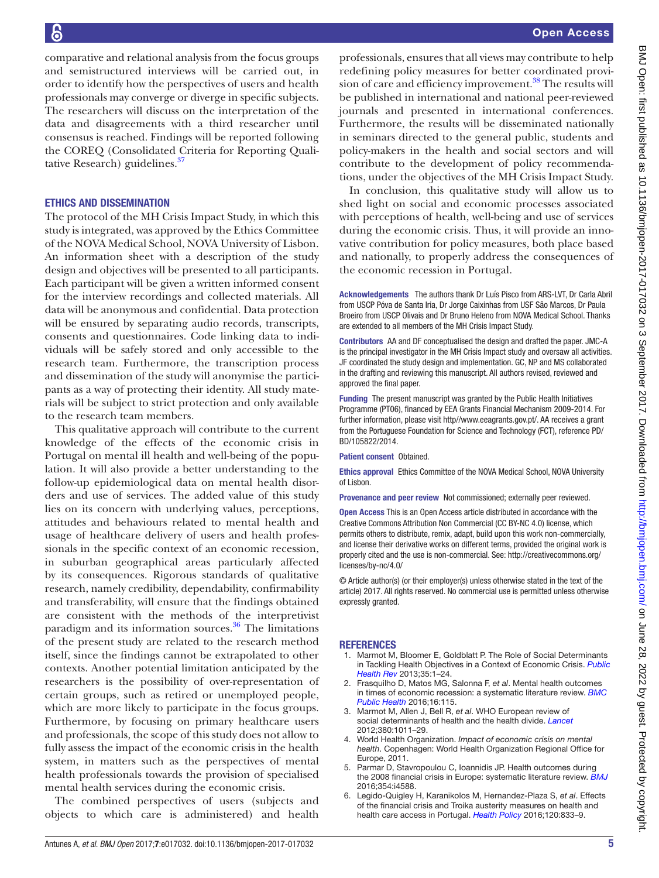comparative and relational analysis from the focus groups and semistructured interviews will be carried out, in order to identify how the perspectives of users and health professionals may converge or diverge in specific subjects. The researchers will discuss on the interpretation of the data and disagreements with a third researcher until consensus is reached. Findings will be reported following the COREQ (Consolidated Criteria for Reporting Qualitative Research) guidelines.<sup>37</sup>

#### Ethics and dissemination

The protocol of the MH Crisis Impact Study, in which this study is integrated, was approved by the Ethics Committee of the NOVA Medical School, NOVA University of Lisbon. An information sheet with a description of the study design and objectives will be presented to all participants. Each participant will be given a written informed consent for the interview recordings and collected materials. All data will be anonymous and confidential. Data protection will be ensured by separating audio records, transcripts, consents and questionnaires. Code linking data to individuals will be safely stored and only accessible to the research team. Furthermore, the transcription process and dissemination of the study will anonymise the participants as a way of protecting their identity. All study materials will be subject to strict protection and only available to the research team members.

This qualitative approach will contribute to the current knowledge of the effects of the economic crisis in Portugal on mental ill health and well-being of the population. It will also provide a better understanding to the follow-up epidemiological data on mental health disorders and use of services. The added value of this study lies on its concern with underlying values, perceptions, attitudes and behaviours related to mental health and usage of healthcare delivery of users and health professionals in the specific context of an economic recession, in suburban geographical areas particularly affected by its consequences. Rigorous standards of qualitative research, namely credibility, dependability, confirmability and transferability, will ensure that the findings obtained are consistent with the methods of the interpretivist paradigm and its information sources. $36$  The limitations of the present study are related to the research method itself, since the findings cannot be extrapolated to other contexts. Another potential limitation anticipated by the researchers is the possibility of over-representation of certain groups, such as retired or unemployed people, which are more likely to participate in the focus groups. Furthermore, by focusing on primary healthcare users and professionals, the scope of this study does not allow to fully assess the impact of the economic crisis in the health system, in matters such as the perspectives of mental health professionals towards the provision of specialised mental health services during the economic crisis.

The combined perspectives of users (subjects and objects to which care is administered) and health

professionals, ensures that all views may contribute to help redefining policy measures for better coordinated provision of care and efficiency improvement.<sup>38</sup> The results will be published in international and national peer-reviewed journals and presented in international conferences. Furthermore, the results will be disseminated nationally in seminars directed to the general public, students and policy-makers in the health and social sectors and will contribute to the development of policy recommendations, under the objectives of the MH Crisis Impact Study.

In conclusion, this qualitative study will allow us to shed light on social and economic processes associated with perceptions of health, well-being and use of services during the economic crisis. Thus, it will provide an innovative contribution for policy measures, both place based and nationally, to properly address the consequences of the economic recession in Portugal.

Acknowledgements The authors thank Dr Luís Pisco from ARS-LVT, Dr Carla Abril from USCP Póva de Santa Iria, Dr Jorge Caixinhas from USF São Marcos, Dr Paula Broeiro from USCP Olivais and Dr Bruno Heleno from NOVA Medical School. Thanks are extended to all members of the MH Crisis Impact Study.

Contributors AA and DF conceptualised the design and drafted the paper. JMC-A is the principal investigator in the MH Crisis Impact study and oversaw all activities. JF coordinated the study design and implementation. GC, NP and MS collaborated in the drafting and reviewing this manuscript. All authors revised, reviewed and approved the final paper.

Funding The present manuscript was granted by the Public Health Initiatives Programme (PT06), financed by EEA Grants Financial Mechanism 2009-2014. For further information, please visit http//www.eeagrants.gov.pt/. AA receives a grant from the Portuguese Foundation for Science and Technology (FCT), reference PD/ BD/105822/2014.

#### Patient consent Obtained.

Ethics approval Ethics Committee of the NOVA Medical School, NOVA University of Lisbon.

Provenance and peer review Not commissioned; externally peer reviewed.

Open Access This is an Open Access article distributed in accordance with the Creative Commons Attribution Non Commercial (CC BY-NC 4.0) license, which permits others to distribute, remix, adapt, build upon this work non-commercially, and license their derivative works on different terms, provided the original work is properly cited and the use is non-commercial. See: [http://creativecommons.org/](http://creativecommons.org/licenses/by-nc/4.0/) [licenses/by-nc/4.0/](http://creativecommons.org/licenses/by-nc/4.0/)

© Article author(s) (or their employer(s) unless otherwise stated in the text of the article) 2017. All rights reserved. No commercial use is permitted unless otherwise expressly granted.

#### **REFERENCES**

- <span id="page-4-0"></span>1. Marmot M, Bloomer E, Goldblatt P. The Role of Social Determinants in Tackling Health Objectives in a Context of Economic Crisis. *[Public](http://dx.doi.org/10.1007/BF03391694)  [Health Rev](http://dx.doi.org/10.1007/BF03391694)* 2013;35:1–24.
- <span id="page-4-3"></span>2. Frasquilho D, Matos MG, Salonna F, *et al*. Mental health outcomes in times of economic recession: a systematic literature review. *[BMC](http://dx.doi.org/10.1186/s12889-016-2720-y)  [Public Health](http://dx.doi.org/10.1186/s12889-016-2720-y)* 2016;16:115.
- 3. Marmot M, Allen J, Bell R, *et al*. WHO European review of social determinants of health and the health divide. *[Lancet](http://dx.doi.org/10.1016/S0140-6736(12)61228-8)* 2012;380:1011–29.
- 4. World Health Organization. *Impact of economic crisis on mental health*. Copenhagen: World Health Organization Regional Office for Europe, 2011.
- <span id="page-4-2"></span>5. Parmar D, Stavropoulou C, Ioannidis JP. Health outcomes during the 2008 financial crisis in Europe: systematic literature review. *[BMJ](http://dx.doi.org/10.1136/bmj.i4588)* 2016;354:i4588.
- <span id="page-4-1"></span>6. Legido-Quigley H, Karanikolos M, Hernandez-Plaza S, *et al*. Effects of the financial crisis and Troika austerity measures on health and health care access in Portugal. *[Health Policy](http://dx.doi.org/10.1016/j.healthpol.2016.04.009)* 2016;120:833–9.